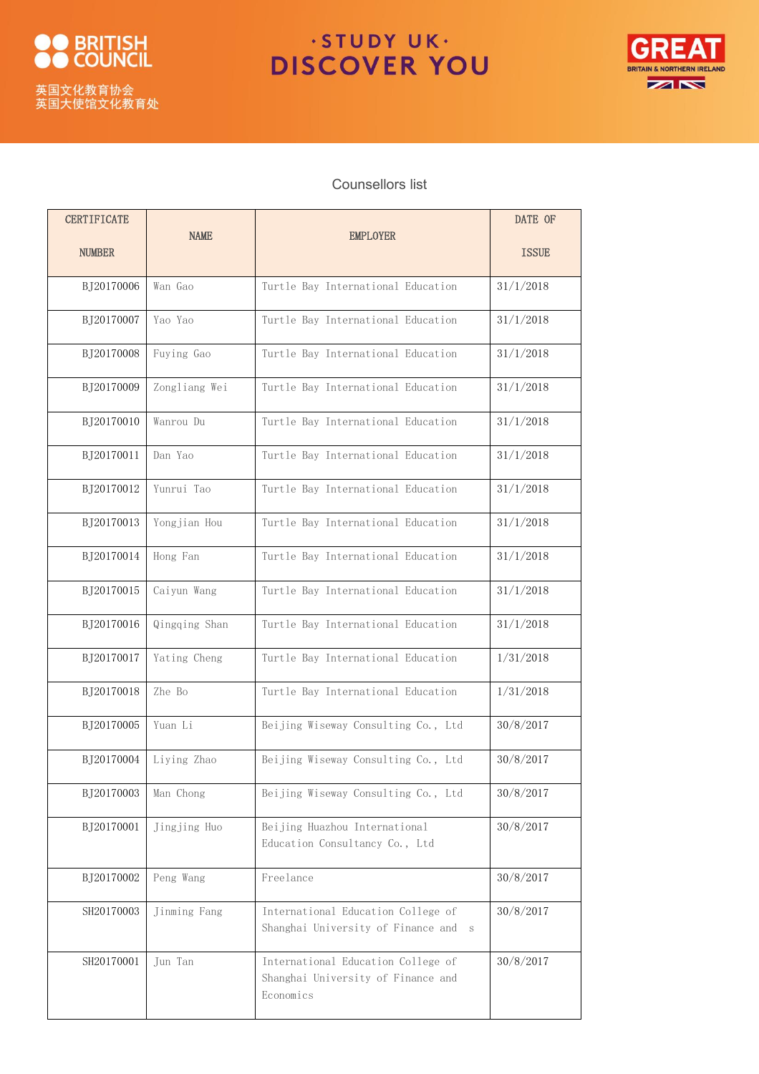

## ·STUDY UK· **DISCOVER YOU**



## Counsellors list

| <b>CERTIFICATE</b> | <b>NAME</b>   | <b>EMPLOYER</b>                                                                       | DATE OF      |
|--------------------|---------------|---------------------------------------------------------------------------------------|--------------|
| <b>NUMBER</b>      |               |                                                                                       | <b>ISSUE</b> |
| BJ20170006         | Wan Gao       | Turtle Bay International Education                                                    | 31/1/2018    |
| BJ20170007         | Yao Yao       | Turtle Bay International Education                                                    | 31/1/2018    |
| BJ20170008         | Fuying Gao    | Turtle Bay International Education                                                    | 31/1/2018    |
| BJ20170009         | Zongliang Wei | Turtle Bay International Education                                                    | 31/1/2018    |
| BJ20170010         | Wanrou Du     | Turtle Bay International Education                                                    | 31/1/2018    |
| BJ20170011         | Dan Yao       | Turtle Bay International Education                                                    | 31/1/2018    |
| BJ20170012         | Yunrui Tao    | Turtle Bay International Education                                                    | 31/1/2018    |
| BJ20170013         | Yongjian Hou  | Turtle Bay International Education                                                    | 31/1/2018    |
| BJ20170014         | Hong Fan      | Turtle Bay International Education                                                    | 31/1/2018    |
| BJ20170015         | Caiyun Wang   | Turtle Bay International Education                                                    | 31/1/2018    |
| BJ20170016         | Qingqing Shan | Turtle Bay International Education                                                    | 31/1/2018    |
| BJ20170017         | Yating Cheng  | Turtle Bay International Education                                                    | 1/31/2018    |
| BJ20170018         | Zhe Bo        | Turtle Bay International Education                                                    | 1/31/2018    |
| BJ20170005         | Yuan Li       | Beijing Wiseway Consulting Co., Ltd                                                   | 30/8/2017    |
| BJ20170004         | Liying Zhao   | Beijing Wiseway Consulting Co., Ltd                                                   | 30/8/2017    |
| BJ20170003         | Man Chong     | Beijing Wiseway Consulting Co., Ltd                                                   | 30/8/2017    |
| BJ20170001         | Jingjing Huo  | Beijing Huazhou International<br>Education Consultancy Co., Ltd                       | 30/8/2017    |
| BJ20170002         | Peng Wang     | Freelance                                                                             | 30/8/2017    |
| SH20170003         | Jinming Fang  | International Education College of<br>Shanghai University of Finance and<br>S         | 30/8/2017    |
| SH20170001         | Jun Tan       | International Education College of<br>Shanghai University of Finance and<br>Economics | 30/8/2017    |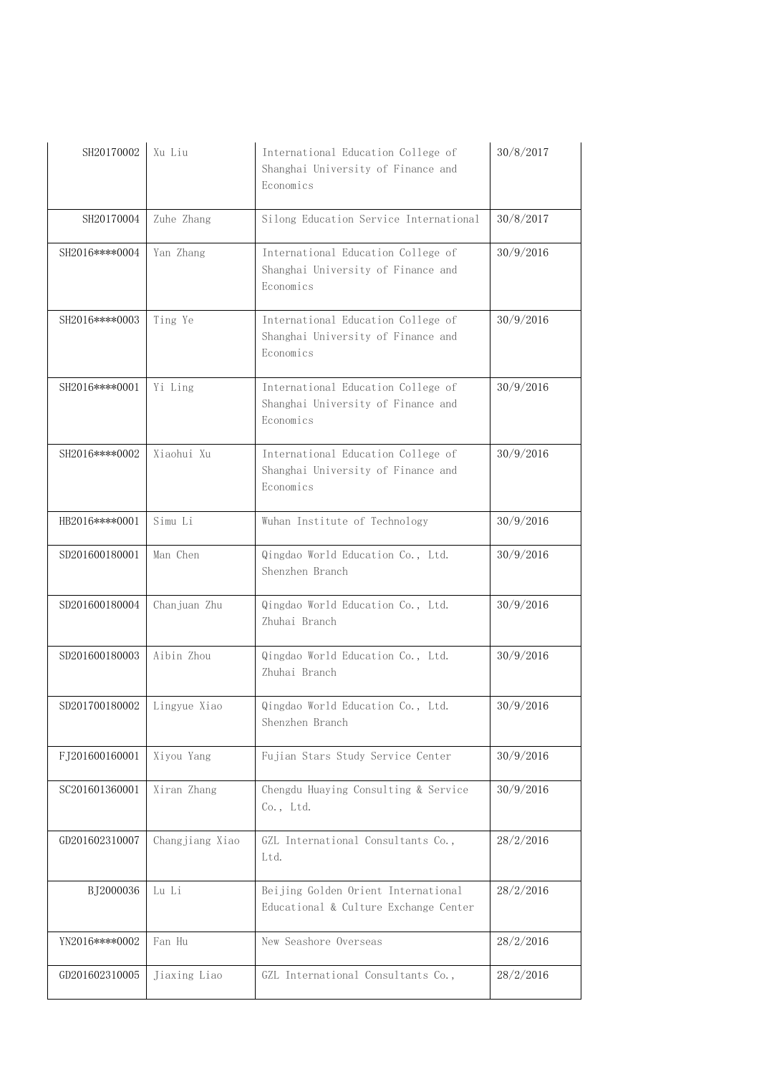| SH20170002       | Xu Liu          | International Education College of<br>Shanghai University of Finance and<br>Economics | 30/8/2017 |
|------------------|-----------------|---------------------------------------------------------------------------------------|-----------|
| SH20170004       | Zuhe Zhang      | Silong Education Service International                                                | 30/8/2017 |
| SH2016 **** 0004 | Yan Zhang       | International Education College of<br>Shanghai University of Finance and<br>Economics | 30/9/2016 |
| SH2016****0003   | Ting Ye         | International Education College of<br>Shanghai University of Finance and<br>Economics | 30/9/2016 |
| SH2016****0001   | Yi Ling         | International Education College of<br>Shanghai University of Finance and<br>Economics | 30/9/2016 |
| SH2016****0002   | Xiaohui Xu      | International Education College of<br>Shanghai University of Finance and<br>Economics | 30/9/2016 |
| HB2016****0001   | Simu Li         | Wuhan Institute of Technology                                                         | 30/9/2016 |
| SD201600180001   | Man Chen        | Qingdao World Education Co., Ltd.<br>Shenzhen Branch                                  | 30/9/2016 |
| SD201600180004   | Chanjuan Zhu    | Qingdao World Education Co., Ltd.<br>Zhuhai Branch                                    | 30/9/2016 |
| SD201600180003   | Aibin Zhou      | Qingdao World Education Co., Ltd.<br>Zhuhai Branch                                    | 30/9/2016 |
| SD201700180002   | Lingyue Xiao    | Qingdao World Education Co., Ltd.<br>Shenzhen Branch                                  | 30/9/2016 |
| FJ201600160001   | Xiyou Yang      | Fujian Stars Study Service Center                                                     | 30/9/2016 |
| SC201601360001   | Xiran Zhang     | Chengdu Huaying Consulting & Service<br>Co., Ltd.                                     | 30/9/2016 |
| GD201602310007   | Changjiang Xiao | GZL International Consultants Co.,<br>Ltd.                                            | 28/2/2016 |
| BJ2000036        | Lu Li           | Beijing Golden Orient International<br>Educational & Culture Exchange Center          | 28/2/2016 |
| YN2016****0002   | Fan Hu          | New Seashore Overseas                                                                 | 28/2/2016 |
| GD201602310005   | Jiaxing Liao    | GZL International Consultants Co.,                                                    | 28/2/2016 |